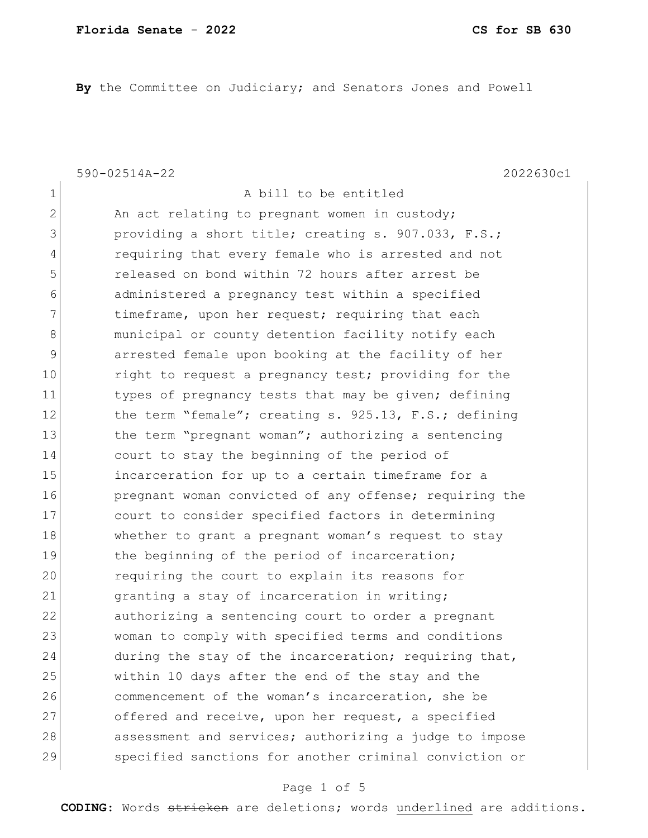**By** the Committee on Judiciary; and Senators Jones and Powell

590-02514A-22 2022630c1

1 A bill to be entitled 2 An act relating to pregnant women in custody; 3 **providing a short title; creating s. 907.033, F.S.;** 4 requiring that every female who is arrested and not 5 released on bond within 72 hours after arrest be 6 administered a pregnancy test within a specified 7 1132 Timeframe, upon her request; requiring that each 8 municipal or county detention facility notify each 9 arrested female upon booking at the facility of her 10 right to request a pregnancy test; providing for the 11 types of pregnancy tests that may be given; defining 12 the term "female"; creating s. 925.13, F.S.; defining 13 the term "pregnant woman"; authorizing a sentencing 14 court to stay the beginning of the period of 15 incarceration for up to a certain timeframe for a 16 **pregnant woman convicted of any offense; requiring the** 17 court to consider specified factors in determining 18 whether to grant a pregnant woman's request to stay 19 the beginning of the period of incarceration; 20 requiring the court to explain its reasons for 21 granting a stay of incarceration in writing; 22 authorizing a sentencing court to order a pregnant 23 woman to comply with specified terms and conditions 24 during the stay of the incarceration; requiring that, 25 within 10 days after the end of the stay and the 26 commencement of the woman's incarceration, she be 27 offered and receive, upon her request, a specified 28 assessment and services; authorizing a judge to impose 29 specified sanctions for another criminal conviction or

#### Page 1 of 5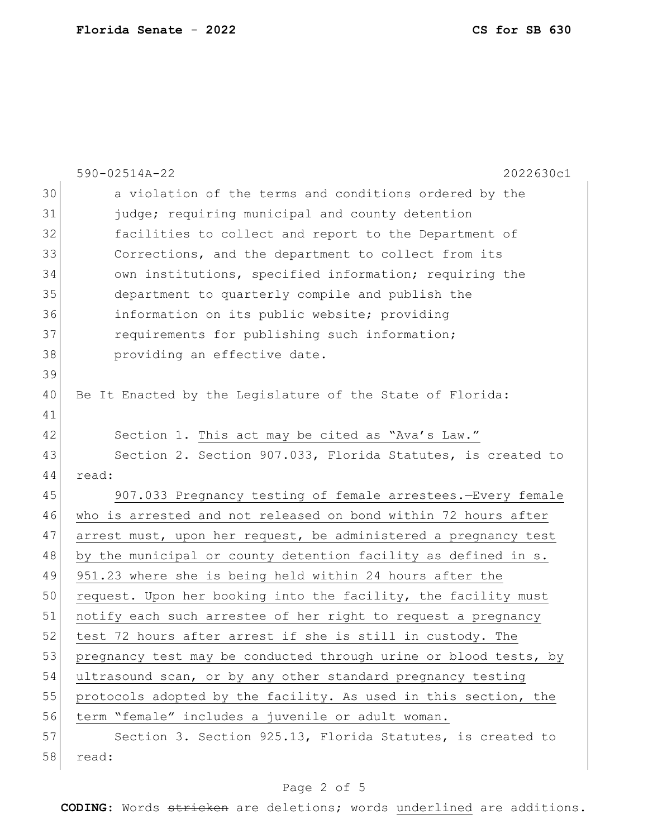|    | 590-02514A-22<br>2022630c1                                       |
|----|------------------------------------------------------------------|
| 30 | a violation of the terms and conditions ordered by the           |
| 31 | judge; requiring municipal and county detention                  |
| 32 | facilities to collect and report to the Department of            |
| 33 | Corrections, and the department to collect from its              |
| 34 | own institutions, specified information; requiring the           |
| 35 | department to quarterly compile and publish the                  |
| 36 | information on its public website; providing                     |
| 37 | requirements for publishing such information;                    |
| 38 | providing an effective date.                                     |
| 39 |                                                                  |
| 40 | Be It Enacted by the Legislature of the State of Florida:        |
| 41 |                                                                  |
| 42 | Section 1. This act may be cited as "Ava's Law."                 |
| 43 | Section 2. Section 907.033, Florida Statutes, is created to      |
| 44 | read:                                                            |
| 45 | 907.033 Pregnancy testing of female arrestees.-Every female      |
| 46 | who is arrested and not released on bond within 72 hours after   |
| 47 | arrest must, upon her request, be administered a pregnancy test  |
| 48 | by the municipal or county detention facility as defined in s.   |
| 49 | 951.23 where she is being held within 24 hours after the         |
| 50 | request. Upon her booking into the facility, the facility must   |
| 51 | notify each such arrestee of her right to request a pregnancy    |
| 52 | test 72 hours after arrest if she is still in custody. The       |
| 53 | pregnancy test may be conducted through urine or blood tests, by |
| 54 | ultrasound scan, or by any other standard pregnancy testing      |
| 55 | protocols adopted by the facility. As used in this section, the  |
| 56 | term "female" includes a juvenile or adult woman.                |
| 57 | Section 3. Section 925.13, Florida Statutes, is created to       |
| 58 | read:                                                            |

# Page 2 of 5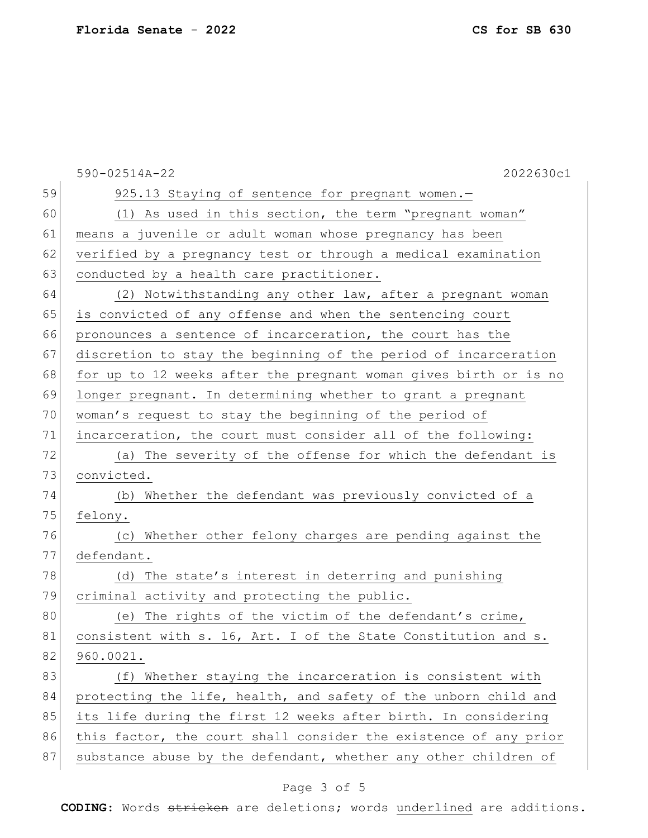|    | 590-02514A-22<br>2022630c1                                       |
|----|------------------------------------------------------------------|
| 59 | 925.13 Staying of sentence for pregnant women.-                  |
| 60 | (1) As used in this section, the term "pregnant woman"           |
| 61 | means a juvenile or adult woman whose pregnancy has been         |
| 62 | verified by a pregnancy test or through a medical examination    |
| 63 | conducted by a health care practitioner.                         |
| 64 | (2) Notwithstanding any other law, after a pregnant woman        |
| 65 | is convicted of any offense and when the sentencing court        |
| 66 | pronounces a sentence of incarceration, the court has the        |
| 67 | discretion to stay the beginning of the period of incarceration  |
| 68 | for up to 12 weeks after the pregnant woman gives birth or is no |
| 69 | longer pregnant. In determining whether to grant a pregnant      |
| 70 | woman's request to stay the beginning of the period of           |
| 71 | incarceration, the court must consider all of the following:     |
| 72 | (a) The severity of the offense for which the defendant is       |
| 73 | convicted.                                                       |
| 74 | Whether the defendant was previously convicted of a<br>(b)       |
| 75 | felony.                                                          |
| 76 | Whether other felony charges are pending against the<br>(C)      |
| 77 | defendant.                                                       |
| 78 | (d) The state's interest in deterring and punishing              |
| 79 | criminal activity and protecting the public.                     |
| 80 | The rights of the victim of the defendant's crime,<br>(e)        |
| 81 | consistent with s. 16, Art. I of the State Constitution and s.   |
| 82 | 960.0021.                                                        |
| 83 | (f) Whether staying the incarceration is consistent with         |
| 84 | protecting the life, health, and safety of the unborn child and  |
| 85 | its life during the first 12 weeks after birth. In considering   |
| 86 | this factor, the court shall consider the existence of any prior |
| 87 | substance abuse by the defendant, whether any other children of  |

# Page 3 of 5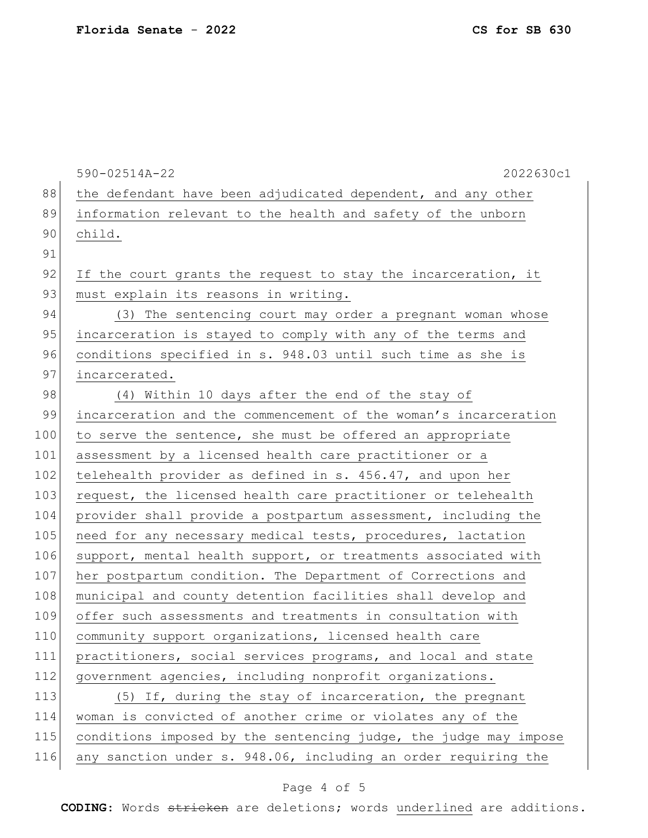590-02514A-22 2022630c1 88 the defendant have been adjudicated dependent, and any other 89 information relevant to the health and safety of the unborn 90 child. 91 92 If the court grants the request to stay the incarceration, it 93 must explain its reasons in writing. 94 (3) The sentencing court may order a pregnant woman whose 95 incarceration is stayed to comply with any of the terms and 96 conditions specified in s. 948.03 until such time as she is 97 incarcerated. 98 (4) Within 10 days after the end of the stay of 99 incarceration and the commencement of the woman's incarceration  $100$  to serve the sentence, she must be offered an appropriate 101 assessment by a licensed health care practitioner or a 102 telehealth provider as defined in s. 456.47, and upon her 103 request, the licensed health care practitioner or telehealth 104 provider shall provide a postpartum assessment, including the 105 need for any necessary medical tests, procedures, lactation 106 support, mental health support, or treatments associated with 107 her postpartum condition. The Department of Corrections and 108 municipal and county detention facilities shall develop and 109 offer such assessments and treatments in consultation with 110 community support organizations, licensed health care 111 practitioners, social services programs, and local and state 112 government agencies, including nonprofit organizations. 113 (5) If, during the stay of incarceration, the pregnant 114 woman is convicted of another crime or violates any of the 115 conditions imposed by the sentencing judge, the judge may impose 116 any sanction under s. 948.06, including an order requiring the

#### Page 4 of 5